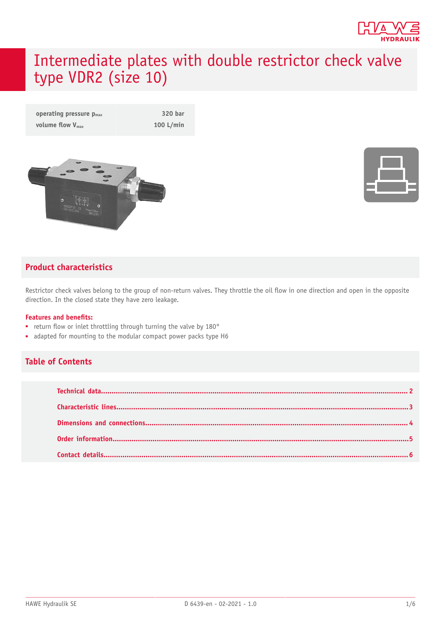

# Intermediate plates with double restrictor check valve type VDR2 (size 10)

| operating pressure $p_{max}$ | 320 bar     |
|------------------------------|-------------|
| volume flow $V_{\text{max}}$ | $100$ L/min |



#### **Product characteristics**

Restrictor check valves belong to the group of non-return valves. They throttle the oil flow in one direction and open in the opposite direction. In the closed state they have zero leakage.

#### **Features and benets:**

- return flow or inlet throttling through turning the valve by 180°
- adapted for mounting to the modular compact power packs type H6

#### **Table of Contents**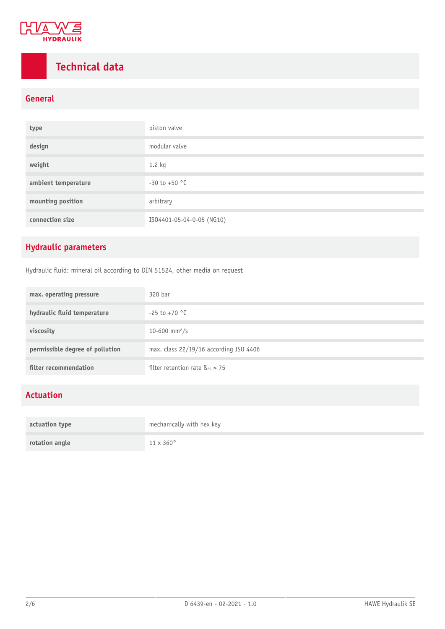

## <span id="page-1-0"></span>**Technical data**

### **General**

| type                | piston valve              |
|---------------------|---------------------------|
| design              | modular valve             |
| weight              | $1.2$ kg                  |
| ambient temperature | $-30$ to $+50$ °C         |
| mounting position   | arbitrary                 |
| connection size     | ISO4401-05-04-0-05 (NG10) |

### **Hydraulic parameters**

Hydraulic fluid: mineral oil according to DIN 51524, other media on request

| max. operating pressure         | 320 bar                                 |
|---------------------------------|-----------------------------------------|
| hydraulic fluid temperature     | $-25$ to $+70$ °C                       |
| viscosity                       | 10-600 mm <sup>2</sup> /s               |
| permissible degree of pollution | max. class 22/19/16 according ISO 4406  |
| filter recommendation           | filter retention rate $\beta_{25} > 75$ |

### **Actuation**

| actuation type | mechanically with hex key |
|----------------|---------------------------|
| rotation angle | $11 \times 360^\circ$     |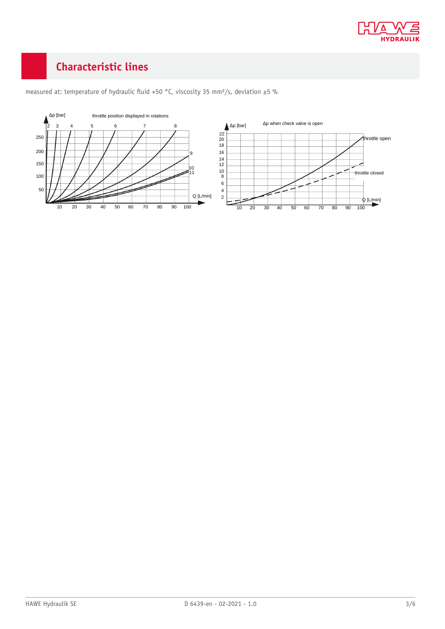

### <span id="page-2-0"></span>**Characteristic lines**



measured at: temperature of hydraulic fluid +50 °C, viscosity 35 mm<sup>2</sup>/s, deviation ±5 %

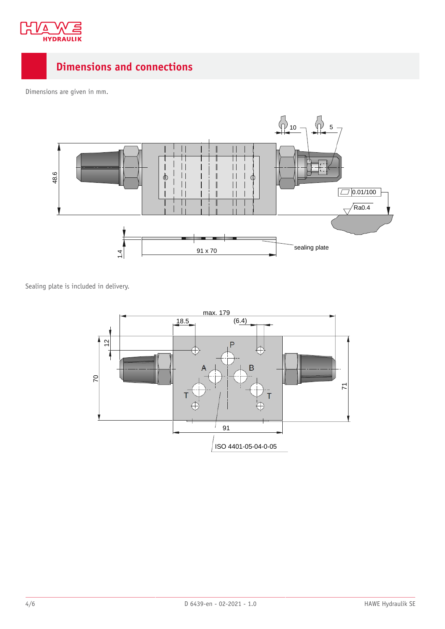

### <span id="page-3-0"></span>**Dimensions and connections**

Dimensions are given in mm.



Sealing plate is included in delivery.

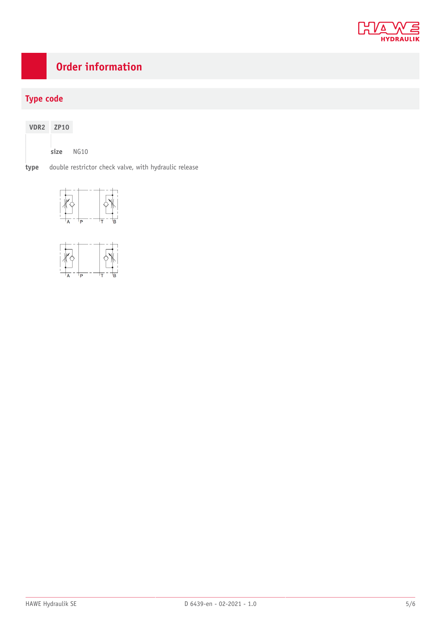

## <span id="page-4-0"></span>**Order information**

### **Type code**

| VDR <sub>2</sub> | <b>ZP10</b> |      |
|------------------|-------------|------|
|                  | size        | NG10 |

**type** double restrictor check valve, with hydraulic release